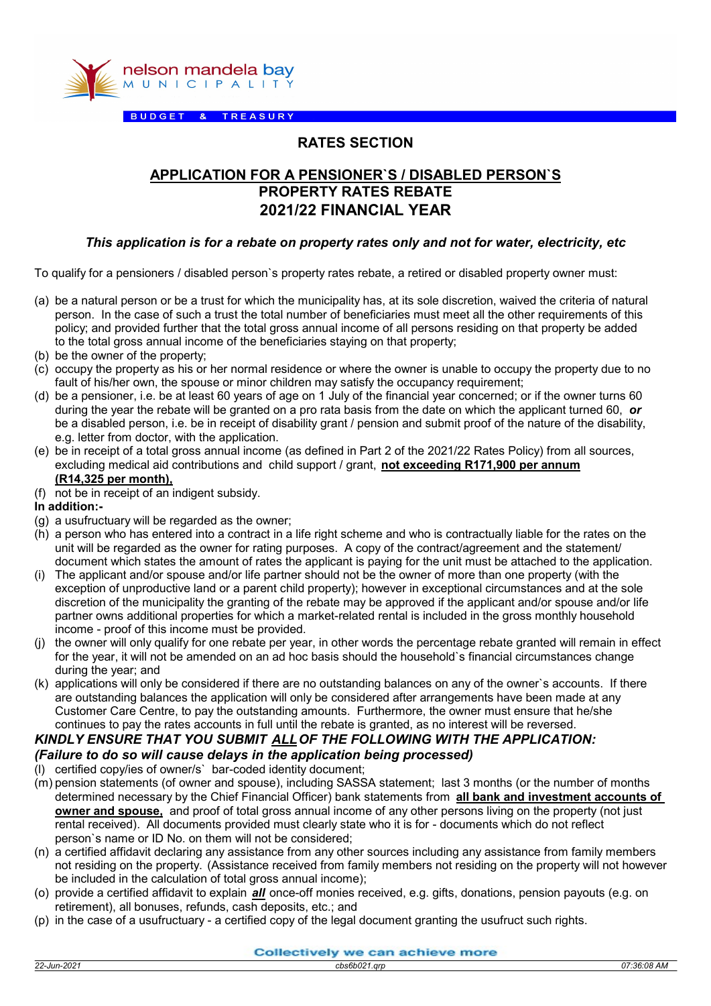

BUDGET & TREASURY

## RATES SECTION

## APPLICATION FOR A PENSIONER`S / DISABLED PERSON`S PROPERTY RATES REBATE 2021/22 FINANCIAL YEAR

### This application is for a rebate on property rates only and not for water, electricity, etc

To qualify for a pensioners / disabled person`s property rates rebate, a retired or disabled property owner must:

- (a) be a natural person or be a trust for which the municipality has, at its sole discretion, waived the criteria of natural person. In the case of such a trust the total number of beneficiaries must meet all the other requirements of this policy; and provided further that the total gross annual income of all persons residing on that property be added to the total gross annual income of the beneficiaries staying on that property;
- (b) be the owner of the property;
- (c) occupy the property as his or her normal residence or where the owner is unable to occupy the property due to no fault of his/her own, the spouse or minor children may satisfy the occupancy requirement;
- (d) be a pensioner, i.e. be at least 60 years of age on 1 July of the financial year concerned; or if the owner turns 60 during the year the rebate will be granted on a pro rata basis from the date on which the applicant turned 60,  $or$ be a disabled person, i.e. be in receipt of disability grant / pension and submit proof of the nature of the disability, e.g. letter from doctor, with the application.
- (e) be in receipt of a total gross annual income (as defined in Part 2 of the 2021/22 Rates Policy) from all sources, excluding medical aid contributions and child support / grant, not exceeding R171,900 per annum (R14,325 per month),
- (f) not be in receipt of an indigent subsidy.
- In addition:-
- (g) a usufructuary will be regarded as the owner;
- (h) a person who has entered into a contract in a life right scheme and who is contractually liable for the rates on the unit will be regarded as the owner for rating purposes. A copy of the contract/agreement and the statement/ document which states the amount of rates the applicant is paying for the unit must be attached to the application.
- (i) The applicant and/or spouse and/or life partner should not be the owner of more than one property (with the exception of unproductive land or a parent child property); however in exceptional circumstances and at the sole discretion of the municipality the granting of the rebate may be approved if the applicant and/or spouse and/or life partner owns additional properties for which a market-related rental is included in the gross monthly household income - proof of this income must be provided.
- (j) the owner will only qualify for one rebate per year, in other words the percentage rebate granted will remain in effect for the year, it will not be amended on an ad hoc basis should the household`s financial circumstances change during the year; and
- (k) applications will only be considered if there are no outstanding balances on any of the owner`s accounts. If there are outstanding balances the application will only be considered after arrangements have been made at any Customer Care Centre, to pay the outstanding amounts. Furthermore, the owner must ensure that he/she continues to pay the rates accounts in full until the rebate is granted, as no interest will be reversed.

## KINDLY ENSURE THAT YOU SUBMIT ALLOF THE FOLLOWING WITH THE APPLICATION: (Failure to do so will cause delays in the application being processed)

- (l) certified copy/ies of owner/s` bar-coded identity document;
- (m) pension statements (of owner and spouse), including SASSA statement; last 3 months (or the number of months determined necessary by the Chief Financial Officer) bank statements from all bank and investment accounts of owner and spouse, and proof of total gross annual income of any other persons living on the property (not just rental received). All documents provided must clearly state who it is for - documents which do not reflect person`s name or ID No. on them will not be considered;
- (n) a certified affidavit declaring any assistance from any other sources including any assistance from family members not residing on the property. (Assistance received from family members not residing on the property will not however be included in the calculation of total gross annual income);
- (o) provide a certified affidavit to explain *all* once-off monies received, e.g. gifts, donations, pension payouts (e.g. on retirement), all bonuses, refunds, cash deposits, etc.; and
- (p) in the case of a usufructuary a certified copy of the legal document granting the usufruct such rights.

#### Collectively we can achieve more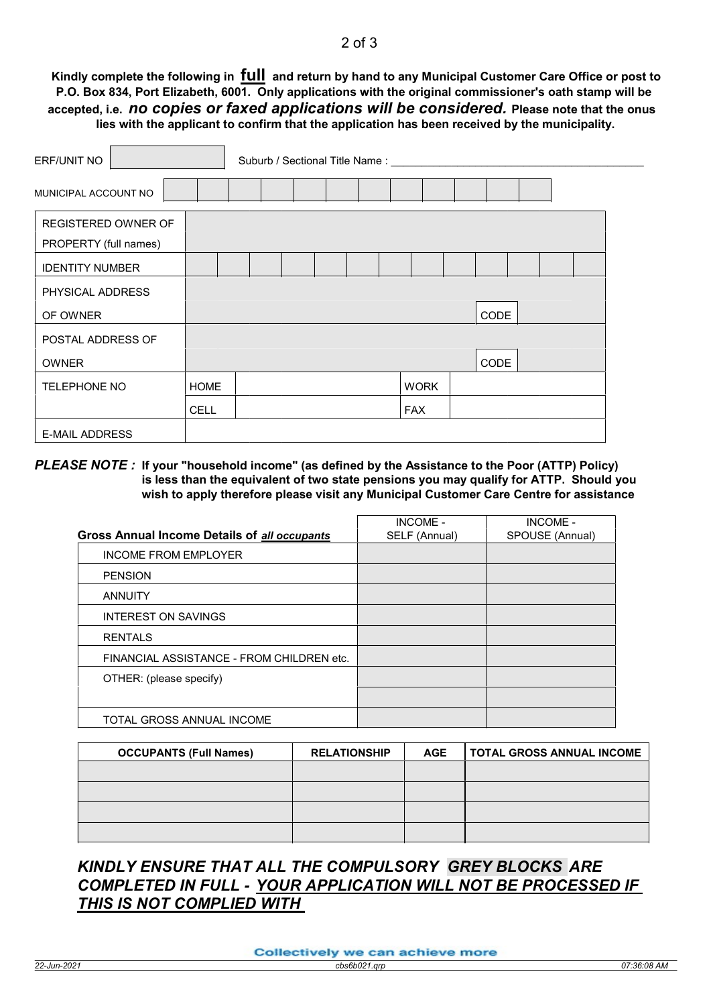### 2 of 3

Kindly complete the following in full and return by hand to any Municipal Customer Care Office or post to P.O. Box 834, Port Elizabeth, 6001. Only applications with the original commissioner's oath stamp will be accepted, i.e. no copies or faxed applications will be considered. Please note that the onus lies with the applicant to confirm that the application has been received by the municipality.

| ERF/UNIT NO                |  |             |  |  |  |  |  |  | Suburb / Sectional Title Name: ___________ |      |  |  |  |
|----------------------------|--|-------------|--|--|--|--|--|--|--------------------------------------------|------|--|--|--|
| MUNICIPAL ACCOUNT NO       |  |             |  |  |  |  |  |  |                                            |      |  |  |  |
| <b>REGISTERED OWNER OF</b> |  |             |  |  |  |  |  |  |                                            |      |  |  |  |
| PROPERTY (full names)      |  |             |  |  |  |  |  |  |                                            |      |  |  |  |
| <b>IDENTITY NUMBER</b>     |  |             |  |  |  |  |  |  |                                            |      |  |  |  |
| PHYSICAL ADDRESS           |  |             |  |  |  |  |  |  |                                            |      |  |  |  |
| OF OWNER                   |  | <b>CODE</b> |  |  |  |  |  |  |                                            |      |  |  |  |
| POSTAL ADDRESS OF          |  |             |  |  |  |  |  |  |                                            |      |  |  |  |
| <b>OWNER</b>               |  |             |  |  |  |  |  |  |                                            | CODE |  |  |  |
| <b>TELEPHONE NO</b>        |  | <b>HOME</b> |  |  |  |  |  |  | <b>WORK</b>                                |      |  |  |  |
|                            |  | <b>CELL</b> |  |  |  |  |  |  | <b>FAX</b>                                 |      |  |  |  |
| <b>E-MAIL ADDRESS</b>      |  |             |  |  |  |  |  |  |                                            |      |  |  |  |

#### PLEASE NOTE : If your "household income" (as defined by the Assistance to the Poor (ATTP) Policy) is less than the equivalent of two state pensions you may qualify for ATTP. Should you wish to apply therefore please visit any Municipal Customer Care Centre for assistance

|                                                     | <b>INCOME -</b> | <b>INCOME -</b> |
|-----------------------------------------------------|-----------------|-----------------|
| <b>Gross Annual Income Details of all occupants</b> | SELF (Annual)   | SPOUSE (Annual) |
| <b>INCOME FROM EMPLOYER</b>                         |                 |                 |
| <b>PENSION</b>                                      |                 |                 |
| <b>ANNUITY</b>                                      |                 |                 |
| INTEREST ON SAVINGS                                 |                 |                 |
| <b>RENTALS</b>                                      |                 |                 |
| FINANCIAL ASSISTANCE - FROM CHILDREN etc.           |                 |                 |
| OTHER: (please specify)                             |                 |                 |
|                                                     |                 |                 |
| TOTAL GROSS ANNUAL INCOME                           |                 |                 |

| <b>OCCUPANTS (Full Names)</b> | <b>RELATIONSHIP</b> | <b>AGE</b> | <b>TOTAL GROSS ANNUAL INCOME</b> |
|-------------------------------|---------------------|------------|----------------------------------|
|                               |                     |            |                                  |
|                               |                     |            |                                  |
|                               |                     |            |                                  |
|                               |                     |            |                                  |

# KINDLY ENSURE THAT ALL THE COMPULSORY GREY BLOCKS ARE COMPLETED IN FULL - YOUR APPLICATION WILL NOT BE PROCESSED IF THIS IS NOT COMPLIED WITH

Collectively we can achieve more